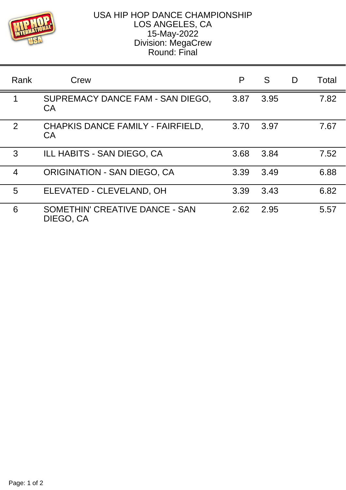

## USA HIP HOP DANCE CHAMPIONSHIP LOS ANGELES, CA 15-May-2022 Division: MegaCrew Round: Final

| Rank           | Crew                                           | P    | S    | D | Total |
|----------------|------------------------------------------------|------|------|---|-------|
| 1              | SUPREMACY DANCE FAM - SAN DIEGO,<br>CA         | 3.87 | 3.95 |   | 7.82  |
| 2              | CHAPKIS DANCE FAMILY - FAIRFIELD,<br><b>CA</b> | 3.70 | 3.97 |   | 7.67  |
| 3              | ILL HABITS - SAN DIEGO, CA                     | 3.68 | 3.84 |   | 7.52  |
| $\overline{4}$ | <b>ORIGINATION - SAN DIEGO, CA</b>             | 3.39 | 3.49 |   | 6.88  |
| 5              | ELEVATED - CLEVELAND, OH                       | 3.39 | 3.43 |   | 6.82  |
| 6              | SOMETHIN' CREATIVE DANCE - SAN<br>DIEGO, CA    | 2.62 | 2.95 |   | 5.57  |